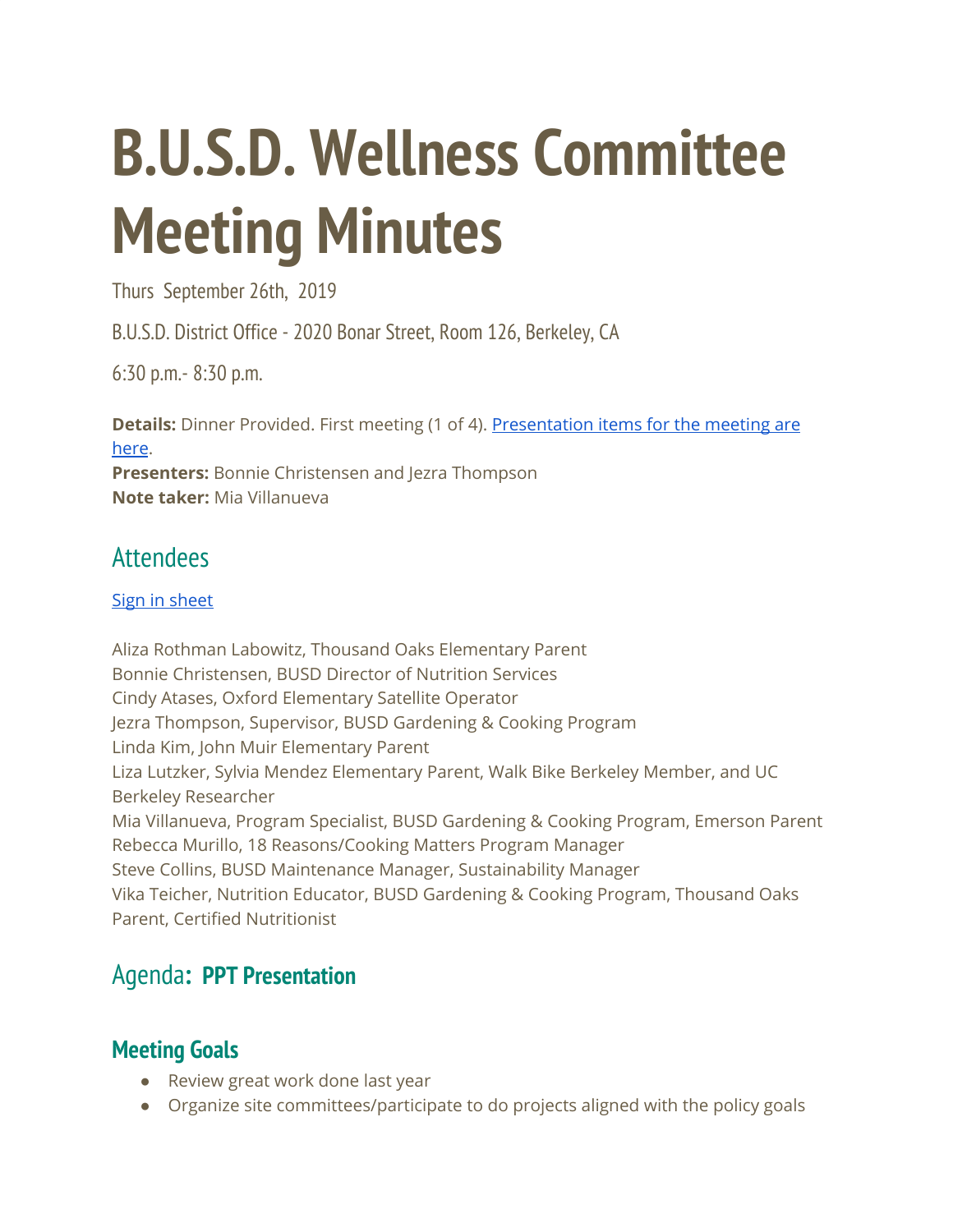# **B.U.S.D. Wellness Committee Meeting Minutes**

Thurs September 26th, 2019

B.U.S.D. District Office - 2020 Bonar Street, Room 126, Berkeley, CA

6:30 p.m.- 8:30 p.m.

**Details:** Dinner Provided. First meeting (1 of 4). [Presentation](https://drive.google.com/drive/u/1/folders/1XYwKPa8IRTZzrfjfCR4Z7vZVGQTe4ntg) items for the meeting are [here](https://drive.google.com/drive/u/1/folders/1XYwKPa8IRTZzrfjfCR4Z7vZVGQTe4ntg). **Presenters:** Bonnie Christensen and Jezra Thompson **Note taker:** Mia Villanueva

# **Attendees**

## Sign in [sheet](https://drive.google.com/drive/folders/1XYwKPa8IRTZzrfjfCR4Z7vZVGQTe4ntg)

Aliza Rothman Labowitz, Thousand Oaks Elementary Parent Bonnie Christensen, BUSD Director of Nutrition Services Cindy Atases, Oxford Elementary Satellite Operator Jezra Thompson, Supervisor, BUSD Gardening & Cooking Program Linda Kim, John Muir Elementary Parent Liza Lutzker, Sylvia Mendez Elementary Parent, Walk Bike Berkeley Member, and UC Berkeley Researcher Mia Villanueva, Program Specialist, BUSD Gardening & Cooking Program, Emerson Parent Rebecca Murillo, 18 Reasons/Cooking Matters Program Manager Steve Collins, BUSD Maintenance Manager, Sustainability Manager Vika Teicher, Nutrition Educator, BUSD Gardening & Cooking Program, Thousand Oaks Parent, Certified Nutritionist

# [Agenda](https://docs.google.com/document/d/1mdLxxobCsvkyqgC_OKDJBPZWsDRX6YwmRtOKvZAF75o/edit)**: PPT Presentation**

## **Meeting Goals**

- Review great work done last year
- Organize site committees/participate to do projects aligned with the policy goals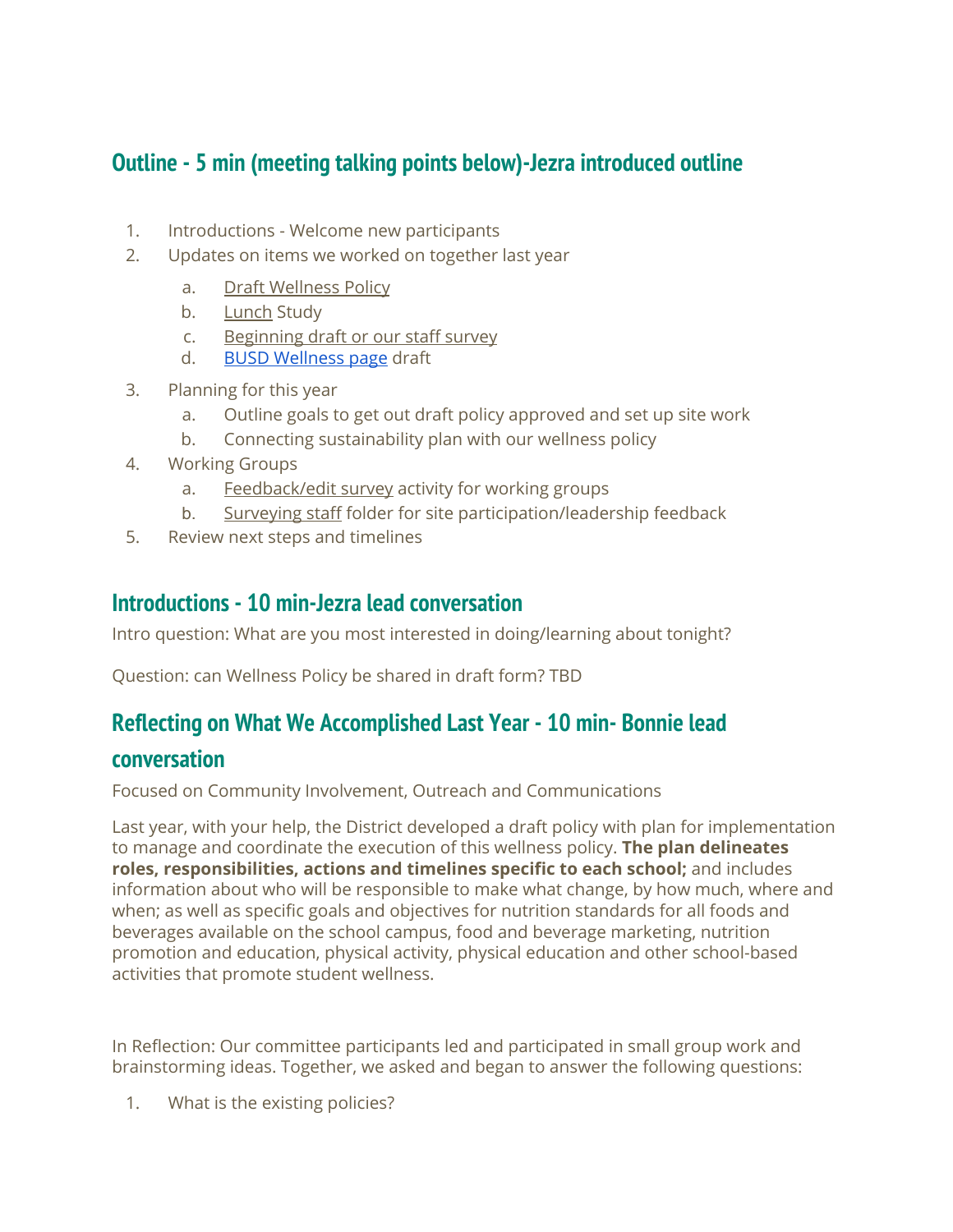## **Outline - 5 min (meeting talking points below)-Jezra introduced outline**

- 1. Introductions Welcome new participants
- 2. Updates on items we worked on together last year
	- a. Draft [Wellness](https://docs.google.com/document/d/1ZwFp1qoctQr2qF8LHxvCTUy6aMdy2RLOJJ1jwtknNGc/edit) Policy
	- b. [Lunch](https://docs.google.com/presentation/d/1fsKByJW9_S91qlE0MD-xQMgmgZ9zDGMOy-a0VIljsu8/edit#slide=id.p1) Study
	- c. [Beginning](https://docs.google.com/forms/d/1mkaaK0wa30LHFXe__8UmRwWgrIXTi-E-ojy_Bhh1S64/edit) draft or our staff survey
	- d. BUSD [Wellness](https://www.berkeleyschools.net/departments/nutrition-services/wellness/) page draft
- 3. Planning for this year
	- a. Outline goals to get out draft policy approved and set up site work
	- b. Connecting sustainability plan with our wellness policy
- 4. Working Groups
	- a. [Feedback/edit](https://docs.google.com/forms/d/1mkaaK0wa30LHFXe__8UmRwWgrIXTi-E-ojy_Bhh1S64/edit) survey activity for working groups
	- b. [Surveying](https://drive.google.com/drive/u/1/folders/1kNRyY7_9IWHfU2hb-wLl3-ZNGE3GUXj3) staff folder for site participation/leadership feedback
- 5. Review next steps and timelines

## **Introductions - 10 min-Jezra lead conversation**

Intro question: What are you most interested in doing/learning about tonight?

Question: can Wellness Policy be shared in draft form? TBD

## **Reflecting on What We Accomplished Last Year - 10 min- Bonnie lead**

## **conversation**

Focused on Community Involvement, Outreach and Communications

Last year, with your help, the District developed a draft policy with plan for implementation to manage and coordinate the execution of this wellness policy. **The plan delineates roles, responsibilities, actions and timelines specific to each school;** and includes information about who will be responsible to make what change, by how much, where and when; as well as specific goals and objectives for nutrition standards for all foods and beverages available on the school campus, food and beverage marketing, nutrition promotion and education, physical activity, physical education and other school-based activities that promote student wellness.

In Reflection: Our committee participants led and participated in small group work and brainstorming ideas. Together, we asked and began to answer the following questions:

1. What is the existing policies?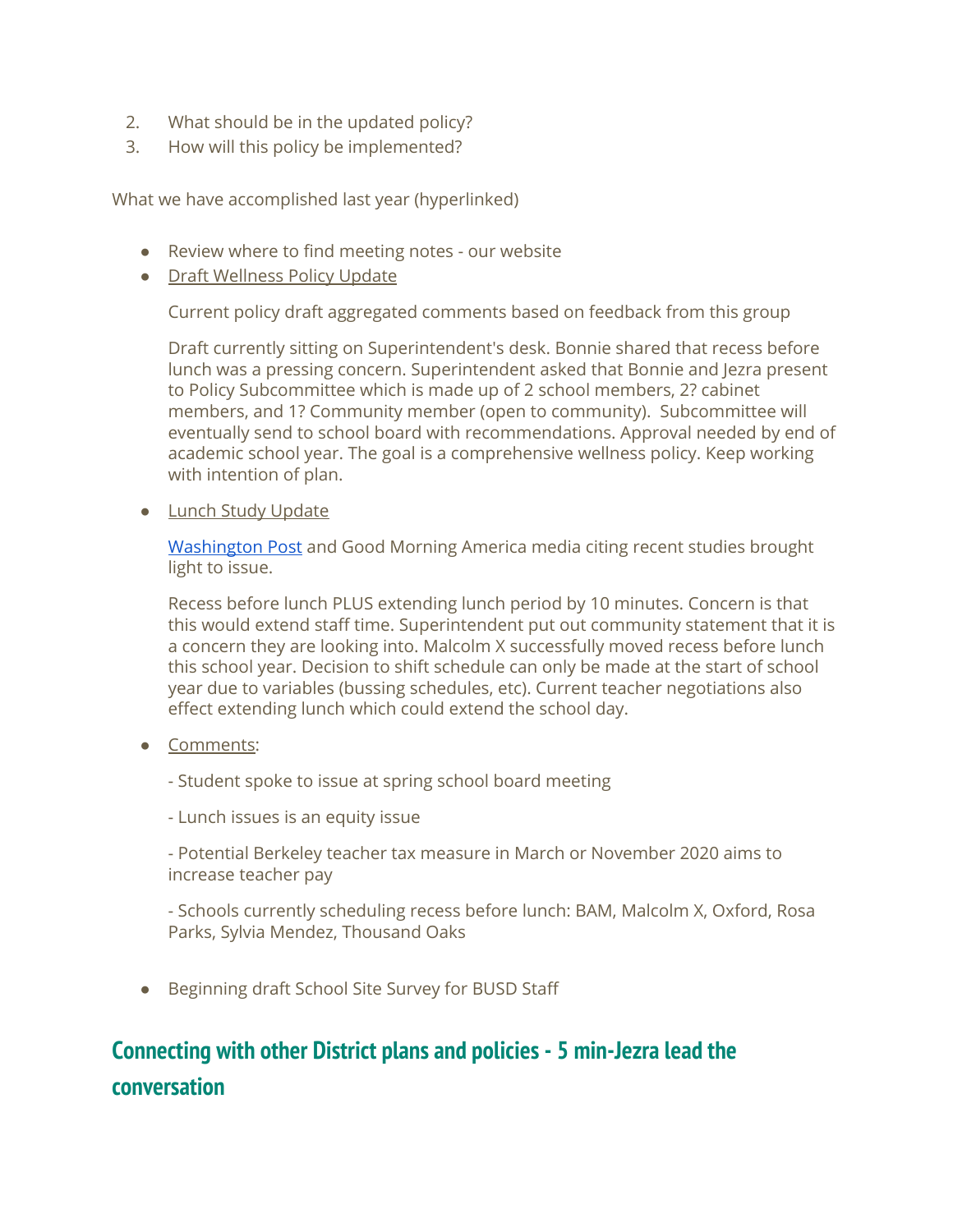- 2. What should be in the updated policy?
- 3. How will this policy be implemented?

What we have accomplished last year (hyperlinked)

- Review where to find [meeting](https://docs.google.com/document/d/1C7BUtZtIqLvXBi5az0KW5ahLTZ_05zAIUpTSHsDHUUE/edit#heading=h.k3ppzar1kn42) notes our website
- Draft Wellness Policy Update

Current policy draft aggregated comments based on feedback from this group

Draft currently sitting on Superintendent's desk. Bonnie shared that recess before lunch was a pressing concern. Superintendent asked that Bonnie and Jezra present to Policy Subcommittee which is made up of 2 school members, 2? cabinet members, and 1? Community member (open to community). Subcommittee will eventually send to school board with recommendations. Approval needed by end of academic school year. The goal is a comprehensive wellness policy. Keep working with intention of plan.

● Lunch Study Update

[Washington](https://www.washingtonpost.com/lifestyle/food/lunch-time-is-so-short-in-some-public-schools-students-are-going-hungry/2019/08/23/f97df454-c034-11e9-b873-63ace636af08_story.html) Post and Good Morning America media citing recent studies brought light to issue.

Recess before lunch PLUS extending lunch period by 10 minutes. Concern is that this would extend staff time. Superintendent put out community statement that it is a concern they are looking into. Malcolm X successfully moved recess before lunch this school year. Decision to shift schedule can only be made at the start of school year due to variables (bussing schedules, etc). Current teacher negotiations also effect extending lunch which could extend the school day.

- Comments:
	- Student spoke to issue at spring school board meeting
	- Lunch issues is an equity issue

- Potential Berkeley teacher tax measure in March or November 2020 aims to increase teacher pay

- Schools currently scheduling recess before lunch: BAM, Malcolm X, Oxford, Rosa Parks, Sylvia Mendez, Thousand Oaks

● Beginning draft School Site [Survey](https://drive.google.com/drive/u/1/folders/1kNRyY7_9IWHfU2hb-wLl3-ZNGE3GUXj3) for BUSD Staff

# **Connecting with other District plans and policies - 5 min-Jezra lead the conversation**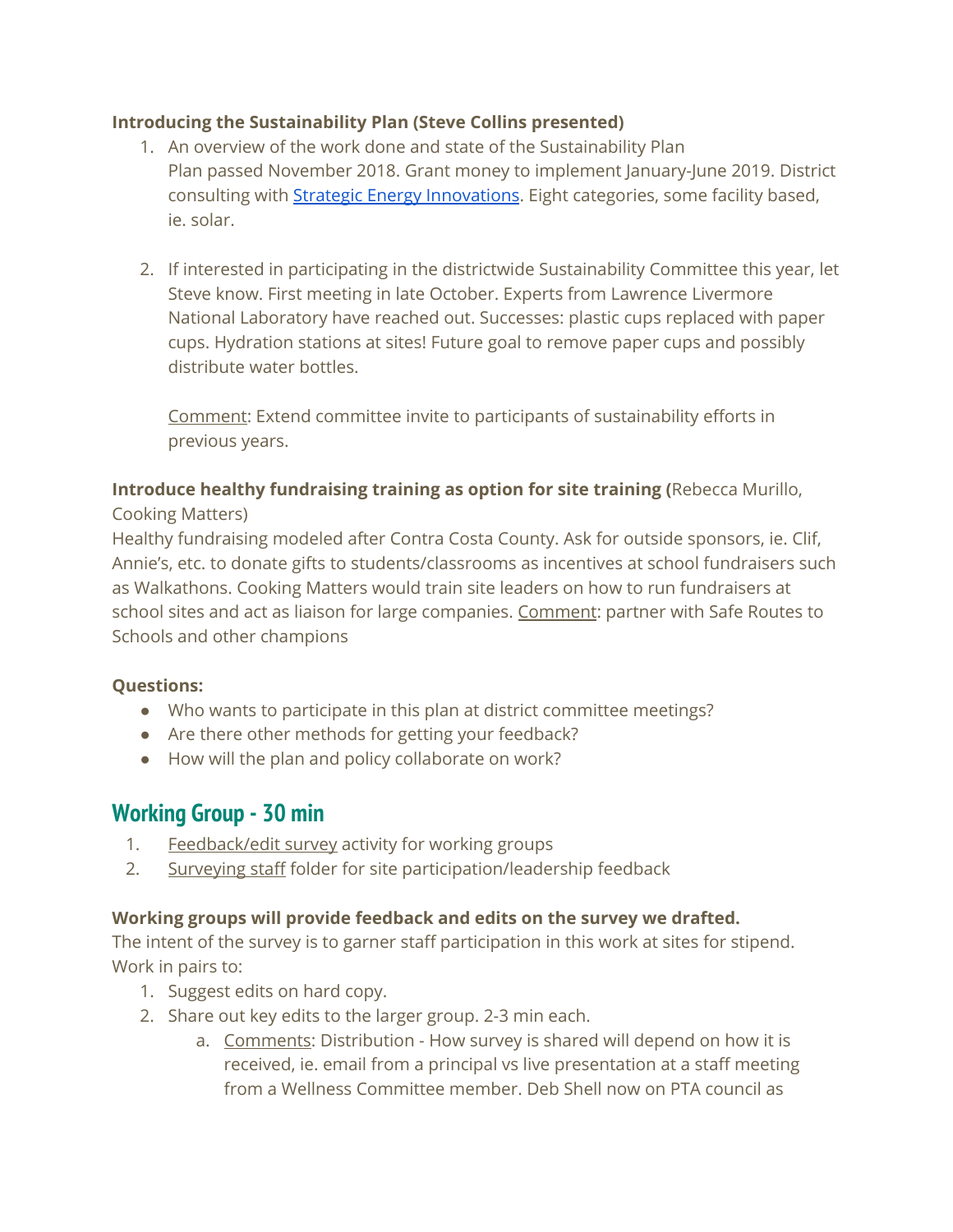## **Introducing the Sustainability Plan (Steve Collins presented)**

- 1. An overview of the work done and state of the Sustainability Plan Plan passed November 2018. Grant money to implement January-June 2019. District consulting with **Strategic Energy Innovations**. Eight categories, some facility based, ie. solar.
- 2. If interested in participating in the districtwide Sustainability Committee this year, let Steve know. First meeting in late October. Experts from Lawrence Livermore National Laboratory have reached out. Successes: plastic cups replaced with paper cups. Hydration stations at sites! Future goal to remove paper cups and possibly distribute water bottles.

Comment: Extend committee invite to participants of sustainability efforts in previous years.

# **Introduce healthy fundraising training as option for site training (**Rebecca Murillo,

Cooking Matters)

Healthy fundraising modeled after Contra Costa County. Ask for outside sponsors, ie. Clif, Annie's, etc. to donate gifts to students/classrooms as incentives at school fundraisers such as Walkathons. Cooking Matters would train site leaders on how to run fundraisers at school sites and act as liaison for large companies. Comment: partner with Safe Routes to Schools and other champions

#### **Questions:**

- Who wants to participate in this plan at district committee meetings?
- Are there other methods for getting your feedback?
- How will the plan and policy collaborate on work?

## **Working Group - 30 min**

- 1. [Feedback/edit](https://docs.google.com/forms/d/1mkaaK0wa30LHFXe__8UmRwWgrIXTi-E-ojy_Bhh1S64/edit) survey activity for working groups
- 2. [Surveying](https://drive.google.com/drive/u/1/folders/1kNRyY7_9IWHfU2hb-wLl3-ZNGE3GUXj3) staff folder for site participation/leadership feedback

#### **Working groups will provide feedback and edits on the survey we drafted.**

The intent of the survey is to garner staff participation in this work at sites for stipend. Work in pairs to:

- 1. Suggest edits on hard copy.
- 2. Share out key edits to the larger group. 2-3 min each.
	- a. Comments: Distribution How survey is shared will depend on how it is received, ie. email from a principal vs live presentation at a staff meeting from a Wellness Committee member. Deb Shell now on PTA council as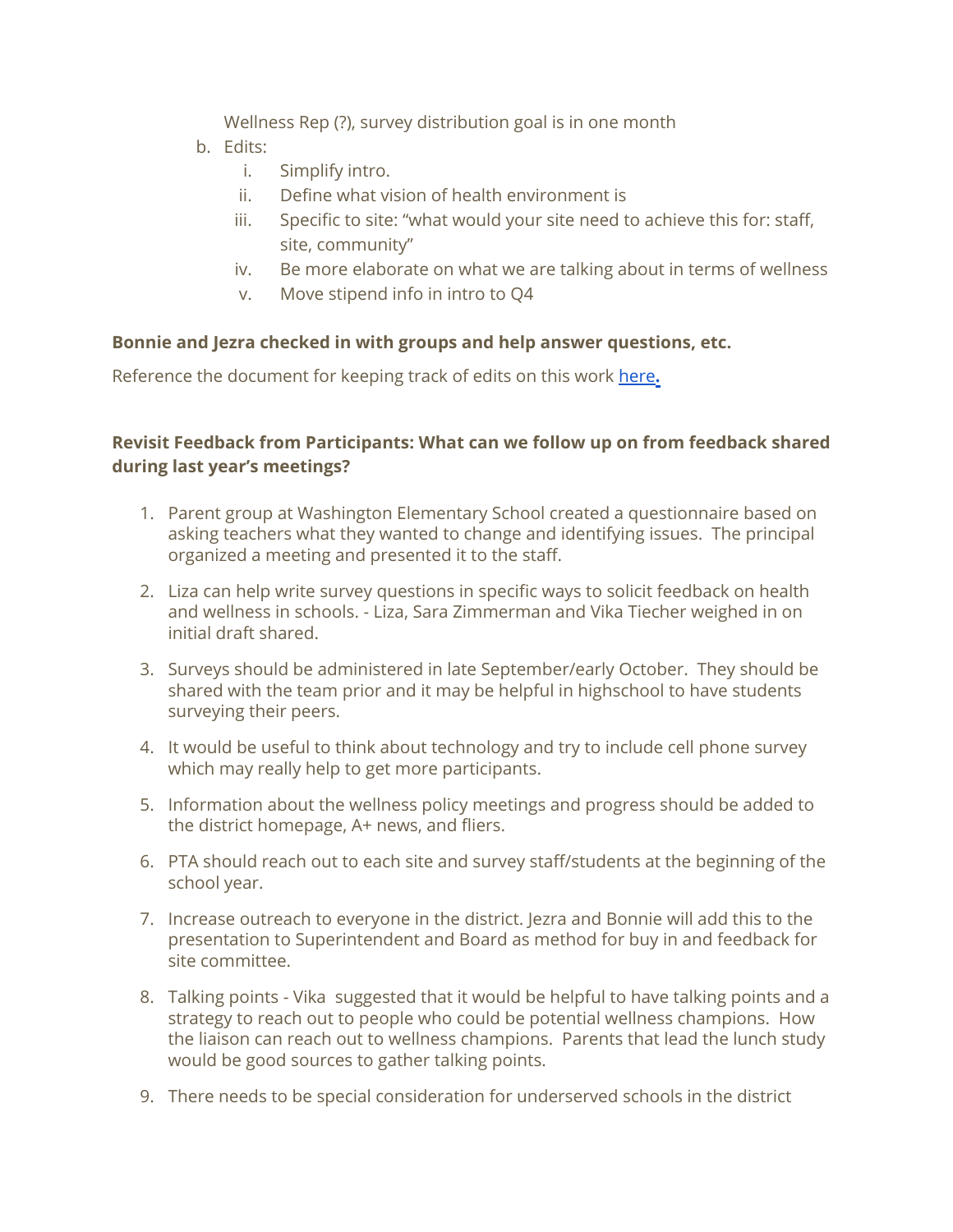Wellness Rep (?), survey distribution goal is in one month

- b. Edits:
	- i. Simplify intro.
	- ii. Define what vision of health environment is
	- iii. Specific to site: "what would your site need to achieve this for: staff, site, community"
	- iv. Be more elaborate on what we are talking about in terms of wellness
	- v. Move stipend info in intro to Q4

#### **Bonnie and Jezra checked in with groups and help answer questions, etc.**

Reference the document for keeping track of edits on this work [here](https://docs.google.com/document/d/1j_adNWVtUSSIrDfKsQpxSwiRXGMkjieX3LW9RxSbFKE/edit#heading=h.gjdgxs)[.](https://docs.google.com/document/d/1j_adNWVtUSSIrDfKsQpxSwiRXGMkjieX3LW9RxSbFKE/edit#heading=h.gjdgxs)

## **Revisit Feedback from Participants: What can we follow up on from feedback shared during last year's meetings?**

- 1. Parent group at Washington Elementary School created a questionnaire based on asking teachers what they wanted to change and identifying issues. The principal organized a meeting and presented it to the staff.
- 2. Liza can help write survey questions in specific ways to solicit feedback on health and wellness in schools. - Liza, Sara Zimmerman and Vika Tiecher weighed in on initial draft shared.
- 3. Surveys should be administered in late September/early October. They should be shared with the team prior and it may be helpful in highschool to have students surveying their peers.
- 4. It would be useful to think about technology and try to include cell phone survey which may really help to get more participants.
- 5. Information about the wellness policy meetings and progress should be added to the district homepage, A+ news, and fliers.
- 6. PTA should reach out to each site and survey staff/students at the beginning of the school year.
- 7. Increase outreach to everyone in the district. Jezra and Bonnie will add this to the presentation to Superintendent and Board as method for buy in and feedback for site committee.
- 8. Talking points Vika suggested that it would be helpful to have talking points and a strategy to reach out to people who could be potential wellness champions. How the liaison can reach out to wellness champions. Parents that lead the lunch study would be good sources to gather talking points.
- 9. There needs to be special consideration for underserved schools in the district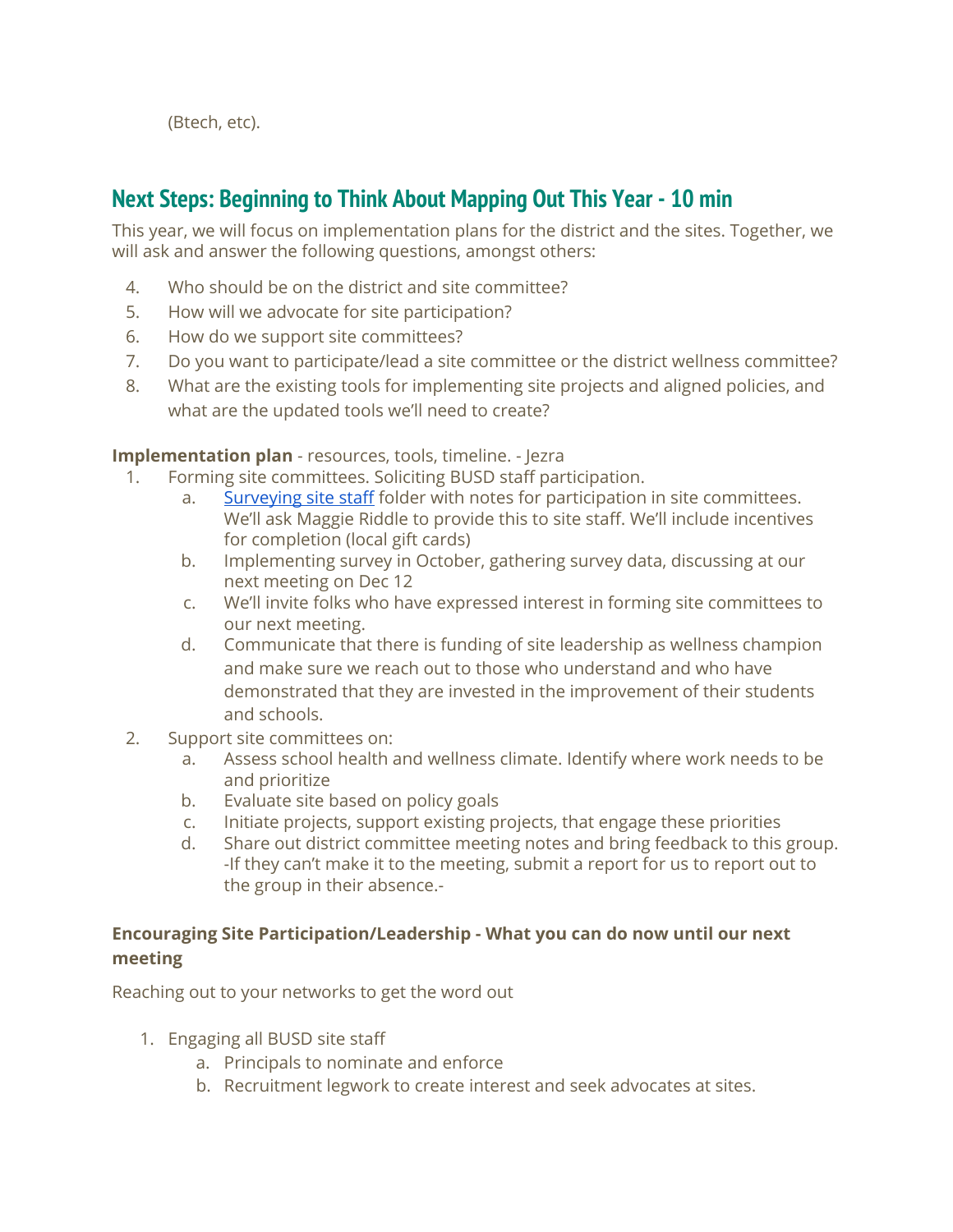(Btech, etc).

## **Next Steps: Beginning to Think About Mapping Out This Year - 10 min**

This year, we will focus on implementation plans for the district and the sites. Together, we will ask and answer the following questions, amongst others:

- 4. Who should be on the district and site committee?
- 5. How will we advocate for site participation?
- 6. How do we support site committees?
- 7. Do you want to participate/lead a site committee or the district wellness committee?
- 8. What are the existing tools for implementing site projects and aligned policies, and what are the updated tools we'll need to create?

#### **Implementation plan** - resources, tools, timeline. - Jezra

- 1. Forming site committees. Soliciting BUSD staff participation.
	- a. [Surveying](https://drive.google.com/drive/u/1/folders/1kNRyY7_9IWHfU2hb-wLl3-ZNGE3GUXj3) site staff folder with notes for participation in site committees. We'll ask Maggie Riddle to provide this to site staff. We'll include incentives for completion (local gift cards)
	- b. Implementing survey in October, gathering survey data, discussing at our next meeting on Dec 12
	- c. We'll invite folks who have expressed interest in forming site committees to our next meeting.
	- d. Communicate that there is funding of site leadership as wellness champion and make sure we reach out to those who understand and who have demonstrated that they are invested in the improvement of their students and schools.
- 2. Support site committees on:
	- a. Assess school health and wellness climate. Identify where work needs to be and prioritize
	- b. Evaluate site based on policy goals
	- c. Initiate projects, support existing projects, that engage these priorities
	- d. Share out district committee meeting notes and bring feedback to this group. -If they can't make it to the meeting, submit a report for us to report out to the group in their absence.-

## **Encouraging Site Participation/Leadership - What you can do now until our next meeting**

Reaching out to your networks to get the word out

- 1. Engaging all BUSD site staff
	- a. Principals to nominate and enforce
	- b. Recruitment legwork to create interest and seek advocates at sites.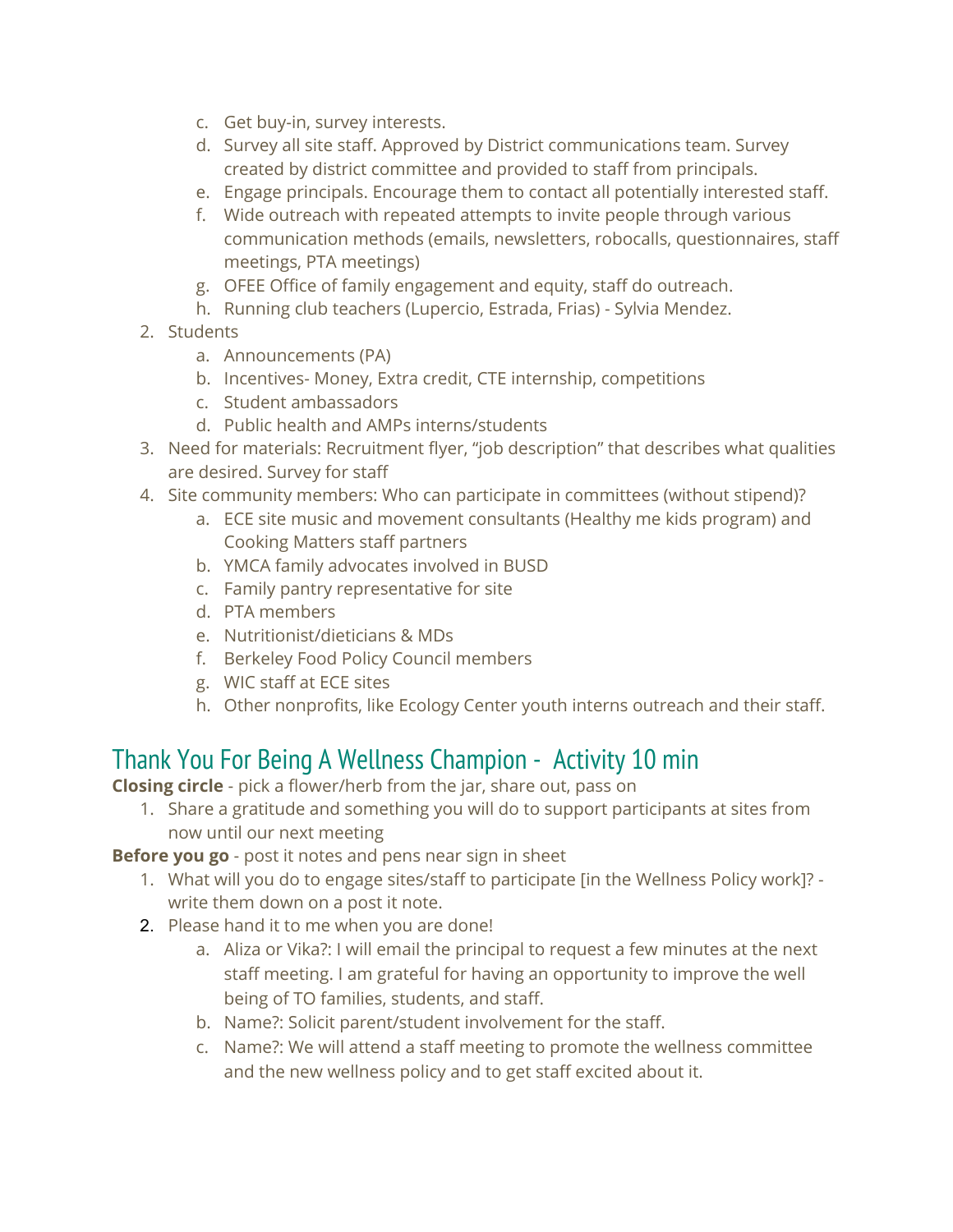- c. Get buy-in, survey interests.
- d. Survey all site staff. Approved by District communications team. Survey created by district committee and provided to staff from principals.
- e. Engage principals. Encourage them to contact all potentially interested staff.
- f. Wide outreach with repeated attempts to invite people through various communication methods (emails, newsletters, robocalls, questionnaires, staff meetings, PTA meetings)
- g. OFEE Office of family engagement and equity, staff do outreach.
- h. Running club teachers (Lupercio, Estrada, Frias) Sylvia Mendez.
- 2. Students
	- a. Announcements (PA)
	- b. Incentives- Money, Extra credit, CTE internship, competitions
	- c. Student ambassadors
	- d. Public health and AMPs interns/students
- 3. Need for materials: Recruitment flyer, "job description" that describes what qualities are desired. Survey for staff
- 4. Site community members: Who can participate in committees (without stipend)?
	- a. ECE site music and movement consultants (Healthy me kids program) and Cooking Matters staff partners
	- b. YMCA family advocates involved in BUSD
	- c. Family pantry representative for site
	- d. PTA members
	- e. Nutritionist/dieticians & MDs
	- f. Berkeley Food Policy Council members
	- g. WIC staff at ECE sites
	- h. Other nonprofits, like Ecology Center youth interns outreach and their staff.

# Thank You For Being A Wellness Champion - Activity 10 min

**Closing circle** - pick a flower/herb from the jar, share out, pass on

1. Share a gratitude and something you will do to support participants at sites from now until our next meeting

**Before you go** - post it notes and pens near sign in sheet

- 1. What will you do to engage sites/staff to participate [in the Wellness Policy work]? write them down on a post it note.
- 2. Please hand it to me when you are done!
	- a. Aliza or Vika?: I will email the principal to request a few minutes at the next staff meeting. I am grateful for having an opportunity to improve the well being of TO families, students, and staff.
	- b. Name?: Solicit parent/student involvement for the staff.
	- c. Name?: We will attend a staff meeting to promote the wellness committee and the new wellness policy and to get staff excited about it.